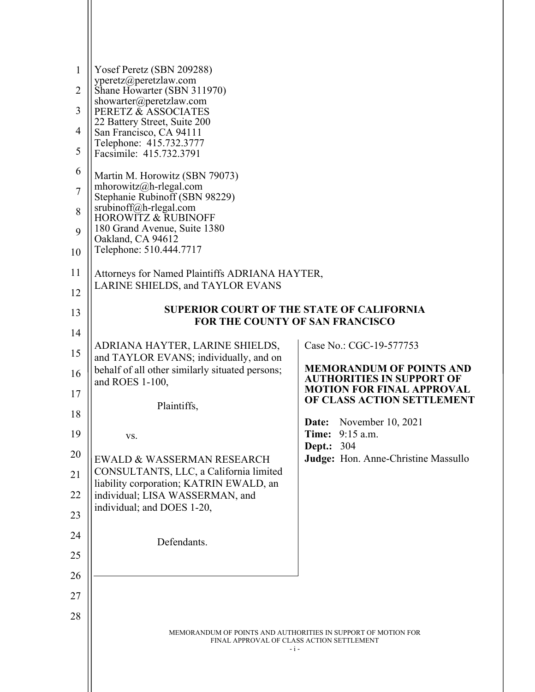| $\mathbf{1}$<br>2<br>3<br>$\overline{4}$<br>5<br>6<br>$\overline{7}$<br>8<br>9<br>10 | Yosef Peretz (SBN 209288)<br>yperetz@peretzlaw.com<br>Shane Howarter (SBN 311970)<br>showarter@peretzlaw.com<br>PERETZ & ASSOCIATES<br>22 Battery Street, Suite 200<br>San Francisco, CA 94111<br>Telephone: 415.732.3777<br>Facsimile: 415.732.3791<br>Martin M. Horowitz (SBN 79073)<br>mhorowitz@h-rlegal.com<br>Stephanie Rubinoff (SBN 98229)<br>srubinoff@h-rlegal.com<br><b>HOROWITZ &amp; RUBINOFF</b><br>180 Grand Avenue, Suite 1380<br>Oakland, CA 94612<br>Telephone: 510.444.7717 |                                                                      |  |  |
|--------------------------------------------------------------------------------------|------------------------------------------------------------------------------------------------------------------------------------------------------------------------------------------------------------------------------------------------------------------------------------------------------------------------------------------------------------------------------------------------------------------------------------------------------------------------------------------------|----------------------------------------------------------------------|--|--|
| 11                                                                                   | Attorneys for Named Plaintiffs ADRIANA HAYTER,                                                                                                                                                                                                                                                                                                                                                                                                                                                 |                                                                      |  |  |
| 12                                                                                   | LARINE SHIELDS, and TAYLOR EVANS                                                                                                                                                                                                                                                                                                                                                                                                                                                               |                                                                      |  |  |
| 13                                                                                   | <b>SUPERIOR COURT OF THE STATE OF CALIFORNIA</b>                                                                                                                                                                                                                                                                                                                                                                                                                                               |                                                                      |  |  |
| 14                                                                                   | <b>FOR THE COUNTY OF SAN FRANCISCO</b>                                                                                                                                                                                                                                                                                                                                                                                                                                                         |                                                                      |  |  |
|                                                                                      | ADRIANA HAYTER, LARINE SHIELDS,                                                                                                                                                                                                                                                                                                                                                                                                                                                                | Case No.: CGC-19-577753                                              |  |  |
| 15                                                                                   | and TAYLOR EVANS; individually, and on<br>behalf of all other similarly situated persons;                                                                                                                                                                                                                                                                                                                                                                                                      | <b>MEMORANDUM OF POINTS AND</b>                                      |  |  |
| 16                                                                                   | and ROES 1-100,                                                                                                                                                                                                                                                                                                                                                                                                                                                                                | <b>AUTHORITIES IN SUPPORT OF</b><br><b>MOTION FOR FINAL APPROVAL</b> |  |  |
| 17                                                                                   | Plaintiffs,                                                                                                                                                                                                                                                                                                                                                                                                                                                                                    | OF CLASS ACTION SETTLEMENT                                           |  |  |
| 18                                                                                   |                                                                                                                                                                                                                                                                                                                                                                                                                                                                                                | November 10, 2021<br>Date:                                           |  |  |
| 19                                                                                   | VS.                                                                                                                                                                                                                                                                                                                                                                                                                                                                                            | Time:<br>9:15 a.m.                                                   |  |  |
| 20                                                                                   | EWALD & WASSERMAN RESEARCH                                                                                                                                                                                                                                                                                                                                                                                                                                                                     | <b>Dept.: 304</b><br>Judge: Hon. Anne-Christine Massullo             |  |  |
| 21                                                                                   | CONSULTANTS, LLC, a California limited                                                                                                                                                                                                                                                                                                                                                                                                                                                         |                                                                      |  |  |
| 22                                                                                   | liability corporation; KATRIN EWALD, an<br>individual; LISA WASSERMAN, and                                                                                                                                                                                                                                                                                                                                                                                                                     |                                                                      |  |  |
| 23                                                                                   | individual; and DOES 1-20,                                                                                                                                                                                                                                                                                                                                                                                                                                                                     |                                                                      |  |  |
| 24                                                                                   |                                                                                                                                                                                                                                                                                                                                                                                                                                                                                                |                                                                      |  |  |
| 25                                                                                   | Defendants.                                                                                                                                                                                                                                                                                                                                                                                                                                                                                    |                                                                      |  |  |
| 26                                                                                   |                                                                                                                                                                                                                                                                                                                                                                                                                                                                                                |                                                                      |  |  |
| 27                                                                                   |                                                                                                                                                                                                                                                                                                                                                                                                                                                                                                |                                                                      |  |  |
| 28                                                                                   |                                                                                                                                                                                                                                                                                                                                                                                                                                                                                                |                                                                      |  |  |
|                                                                                      | MEMORANDUM OF POINTS AND AUTHORITIES IN SUPPORT OF MOTION FOR<br>FINAL APPROVAL OF CLASS ACTION SETTLEMENT<br>$-i-$                                                                                                                                                                                                                                                                                                                                                                            |                                                                      |  |  |

 $\parallel$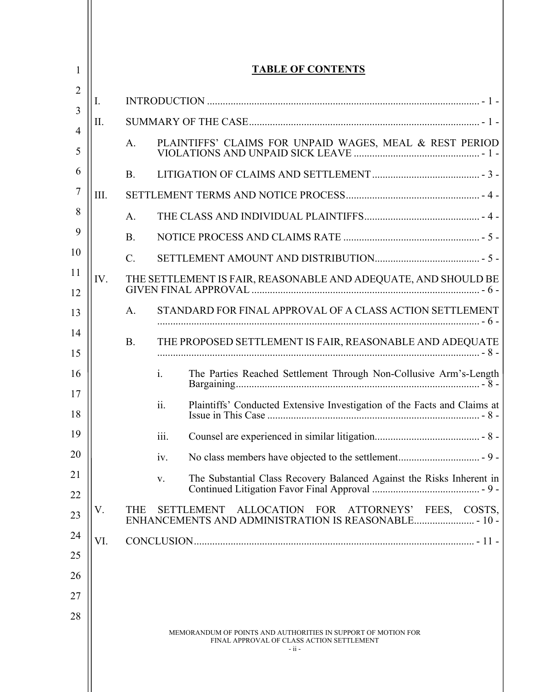| 1        |                                                                                                                      | <b>TABLE OF CONTENTS</b> |                                                                                     |  |  |
|----------|----------------------------------------------------------------------------------------------------------------------|--------------------------|-------------------------------------------------------------------------------------|--|--|
| 2        | I.                                                                                                                   |                          |                                                                                     |  |  |
| 3        | Π.                                                                                                                   |                          |                                                                                     |  |  |
| 4<br>5   | PLAINTIFFS' CLAIMS FOR UNPAID WAGES, MEAL & REST PERIOD<br>A.                                                        |                          |                                                                                     |  |  |
| 6        |                                                                                                                      | <b>B.</b>                |                                                                                     |  |  |
| 7        | III.                                                                                                                 |                          |                                                                                     |  |  |
| 8        |                                                                                                                      | A.                       |                                                                                     |  |  |
| 9        |                                                                                                                      | <b>B.</b>                |                                                                                     |  |  |
| 10       |                                                                                                                      | $\mathbf{C}$ .           |                                                                                     |  |  |
| 11<br>12 | IV.                                                                                                                  |                          | THE SETTLEMENT IS FAIR, REASONABLE AND ADEQUATE, AND SHOULD BE                      |  |  |
| 13       |                                                                                                                      | A.                       | STANDARD FOR FINAL APPROVAL OF A CLASS ACTION SETTLEMENT                            |  |  |
| 14<br>15 |                                                                                                                      | <b>B.</b>                | THE PROPOSED SETTLEMENT IS FAIR, REASONABLE AND ADEQUATE                            |  |  |
| 16       |                                                                                                                      |                          | $\mathbf{i}$ .<br>The Parties Reached Settlement Through Non-Collusive Arm's-Length |  |  |
| 17<br>18 |                                                                                                                      |                          | ii.<br>Plaintiffs' Conducted Extensive Investigation of the Facts and Claims at     |  |  |
| 19       |                                                                                                                      |                          | 111.                                                                                |  |  |
| 20       |                                                                                                                      |                          | iv.                                                                                 |  |  |
| 21<br>22 |                                                                                                                      |                          | The Substantial Class Recovery Balanced Against the Risks Inherent in<br>V.         |  |  |
| 23       | V.                                                                                                                   | <b>THE</b>               | <b>SETTLEMENT</b><br>ALLOCATION FOR ATTORNEYS'<br>COSTS,<br>FEES,                   |  |  |
| 24       | VI.                                                                                                                  |                          |                                                                                     |  |  |
| 25       |                                                                                                                      |                          |                                                                                     |  |  |
| 26       |                                                                                                                      |                          |                                                                                     |  |  |
| 27       |                                                                                                                      |                          |                                                                                     |  |  |
| 28       | MEMORANDUM OF POINTS AND AUTHORITIES IN SUPPORT OF MOTION FOR<br>FINAL APPROVAL OF CLASS ACTION SETTLEMENT<br>- ii - |                          |                                                                                     |  |  |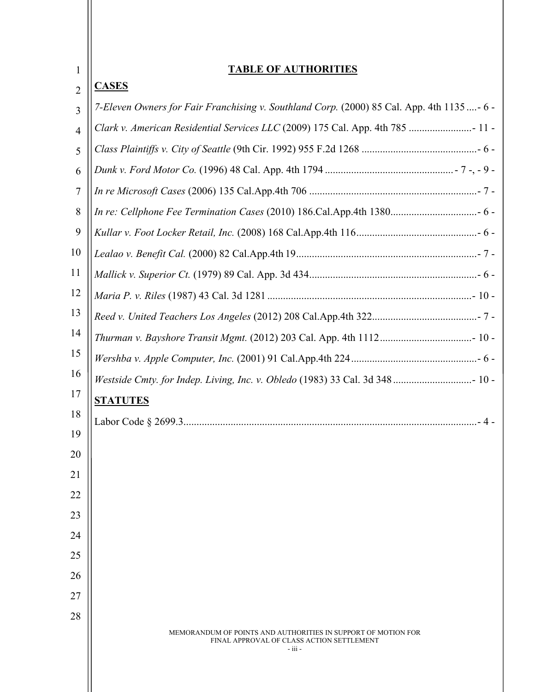| 1              | <b>TABLE OF AUTHORITIES</b>                                                                                           |  |  |
|----------------|-----------------------------------------------------------------------------------------------------------------------|--|--|
| $\overline{2}$ | <b>CASES</b>                                                                                                          |  |  |
| 3              | 7-Eleven Owners for Fair Franchising v. Southland Corp. (2000) 85 Cal. App. 4th 1135- 6 -                             |  |  |
| $\overline{4}$ | Clark v. American Residential Services LLC (2009) 175 Cal. App. 4th 785  11 -                                         |  |  |
| 5              |                                                                                                                       |  |  |
| 6              |                                                                                                                       |  |  |
| $\tau$         |                                                                                                                       |  |  |
| 8              |                                                                                                                       |  |  |
| 9              |                                                                                                                       |  |  |
| 10             |                                                                                                                       |  |  |
| 11             |                                                                                                                       |  |  |
| 12             |                                                                                                                       |  |  |
| 13             |                                                                                                                       |  |  |
| 14             |                                                                                                                       |  |  |
| 15             |                                                                                                                       |  |  |
| 16             |                                                                                                                       |  |  |
| 17             | <b>STATUTES</b>                                                                                                       |  |  |
| 18             |                                                                                                                       |  |  |
| 19             |                                                                                                                       |  |  |
| 20             |                                                                                                                       |  |  |
| 21<br>22       |                                                                                                                       |  |  |
| 23             |                                                                                                                       |  |  |
| 24             |                                                                                                                       |  |  |
| 25             |                                                                                                                       |  |  |
| 26             |                                                                                                                       |  |  |
| 27             |                                                                                                                       |  |  |
| 28             |                                                                                                                       |  |  |
|                | MEMORANDUM OF POINTS AND AUTHORITIES IN SUPPORT OF MOTION FOR<br>FINAL APPROVAL OF CLASS ACTION SETTLEMENT<br>- iii - |  |  |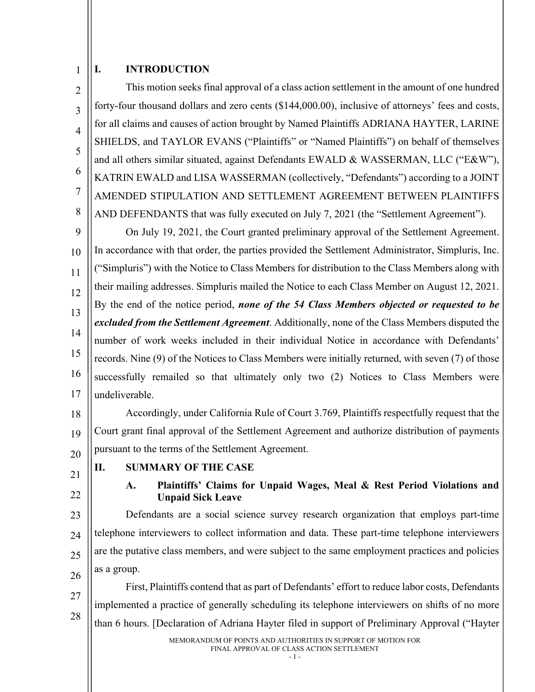#### 1 **I. INTRODUCTION**

 $\mathfrak{D}$ 3 4 5 6 7 8 This motion seeks final approval of a class action settlement in the amount of one hundred forty-four thousand dollars and zero cents (\$144,000.00), inclusive of attorneys' fees and costs, for all claims and causes of action brought by Named Plaintiffs ADRIANA HAYTER, LARINE SHIELDS, and TAYLOR EVANS ("Plaintiffs" or "Named Plaintiffs") on behalf of themselves and all others similar situated, against Defendants EWALD & WASSERMAN, LLC ("E&W"), KATRIN EWALD and LISA WASSERMAN (collectively, "Defendants") according to a JOINT AMENDED STIPULATION AND SETTLEMENT AGREEMENT BETWEEN PLAINTIFFS AND DEFENDANTS that was fully executed on July 7, 2021 (the "Settlement Agreement").

9 10 11 12 13 14 15 16 17 On July 19, 2021, the Court granted preliminary approval of the Settlement Agreement. In accordance with that order, the parties provided the Settlement Administrator, Simpluris, Inc. ("Simpluris") with the Notice to Class Members for distribution to the Class Members along with their mailing addresses. Simpluris mailed the Notice to each Class Member on August 12, 2021. By the end of the notice period, *none of the 54 Class Members objected or requested to be excluded from the Settlement Agreement*. Additionally, none of the Class Members disputed the number of work weeks included in their individual Notice in accordance with Defendants' records. Nine (9) of the Notices to Class Members were initially returned, with seven (7) of those successfully remailed so that ultimately only two (2) Notices to Class Members were undeliverable.

18 19 20 Accordingly, under California Rule of Court 3.769, Plaintiffs respectfully request that the Court grant final approval of the Settlement Agreement and authorize distribution of payments pursuant to the terms of the Settlement Agreement.

- 21
- 22

#### **II. SUMMARY OF THE CASE**

## **A. Plaintiffs' Claims for Unpaid Wages, Meal & Rest Period Violations and Unpaid Sick Leave**

23 24 25 26 Defendants are a social science survey research organization that employs part-time telephone interviewers to collect information and data. These part-time telephone interviewers are the putative class members, and were subject to the same employment practices and policies as a group.

27 28 First, Plaintiffs contend that as part of Defendants' effort to reduce labor costs, Defendants implemented a practice of generally scheduling its telephone interviewers on shifts of no more than 6 hours. [Declaration of Adriana Hayter filed in support of Preliminary Approval ("Hayter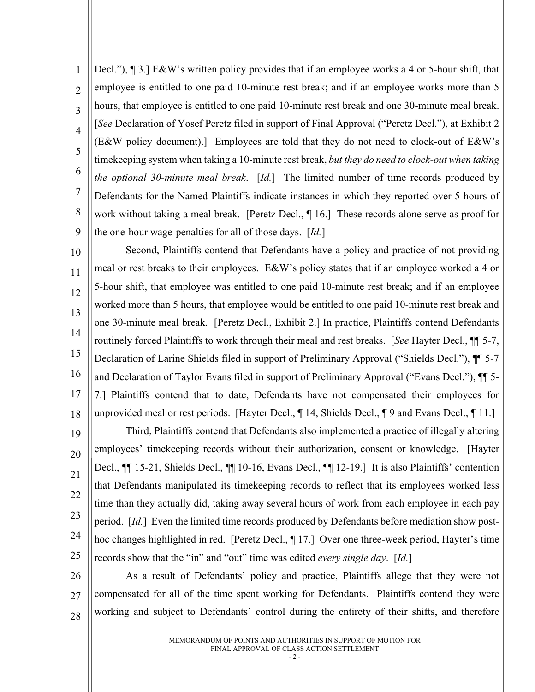1  $\overline{2}$ 3 4 5 6 7 8 9 Decl."), ¶ 3.] E&W's written policy provides that if an employee works a 4 or 5-hour shift, that employee is entitled to one paid 10-minute rest break; and if an employee works more than 5 hours, that employee is entitled to one paid 10-minute rest break and one 30-minute meal break. [*See* Declaration of Yosef Peretz filed in support of Final Approval ("Peretz Decl."), at Exhibit 2 (E&W policy document).] Employees are told that they do not need to clock-out of E&W's timekeeping system when taking a 10-minute rest break, *but they do need to clock-out when taking the optional 30-minute meal break*. [*Id.*] The limited number of time records produced by Defendants for the Named Plaintiffs indicate instances in which they reported over 5 hours of work without taking a meal break. [Peretz Decl., ¶ 16.] These records alone serve as proof for the one-hour wage-penalties for all of those days. [*Id.*]

10 11 12 13 14 15 16 17 18 Second, Plaintiffs contend that Defendants have a policy and practice of not providing meal or rest breaks to their employees. E&W's policy states that if an employee worked a 4 or 5-hour shift, that employee was entitled to one paid 10-minute rest break; and if an employee worked more than 5 hours, that employee would be entitled to one paid 10-minute rest break and one 30-minute meal break. [Peretz Decl., Exhibit 2.] In practice, Plaintiffs contend Defendants routinely forced Plaintiffs to work through their meal and rest breaks. [*See* Hayter Decl., ¶¶ 5-7, Declaration of Larine Shields filed in support of Preliminary Approval ("Shields Decl."), ¶¶ 5-7 and Declaration of Taylor Evans filed in support of Preliminary Approval ("Evans Decl."), ¶¶ 5- 7.] Plaintiffs contend that to date, Defendants have not compensated their employees for unprovided meal or rest periods. [Hayter Decl., 14, Shields Decl., 19 and Evans Decl., 11.]

19 20 21 22 23 24 25 Third, Plaintiffs contend that Defendants also implemented a practice of illegally altering employees' timekeeping records without their authorization, consent or knowledge. [Hayter Decl., ¶¶ 15-21, Shields Decl., ¶¶ 10-16, Evans Decl., ¶¶ 12-19.] It is also Plaintiffs' contention that Defendants manipulated its timekeeping records to reflect that its employees worked less time than they actually did, taking away several hours of work from each employee in each pay period. [Id.] Even the limited time records produced by Defendants before mediation show posthoc changes highlighted in red. [Peretz Decl., ¶ 17.] Over one three-week period, Hayter's time records show that the "in" and "out" time was edited *every single day*. [*Id.*]

26 27 28 As a result of Defendants' policy and practice, Plaintiffs allege that they were not compensated for all of the time spent working for Defendants. Plaintiffs contend they were working and subject to Defendants' control during the entirety of their shifts, and therefore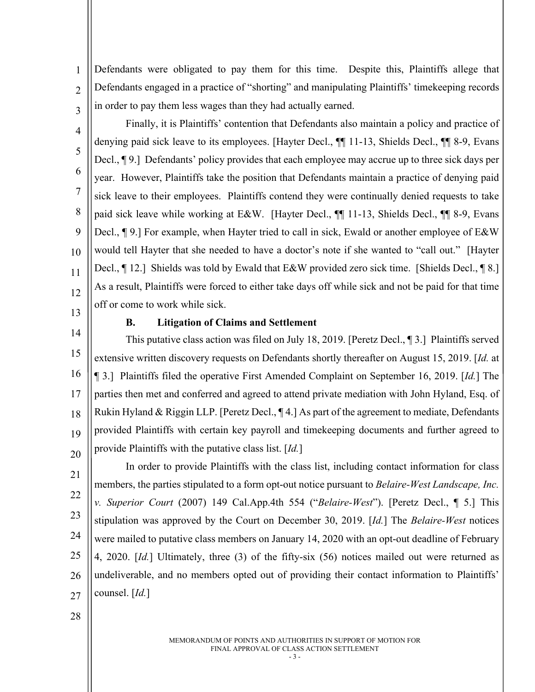Defendants were obligated to pay them for this time. Despite this, Plaintiffs allege that Defendants engaged in a practice of "shorting" and manipulating Plaintiffs' timekeeping records in order to pay them less wages than they had actually earned.

Finally, it is Plaintiffs' contention that Defendants also maintain a policy and practice of denying paid sick leave to its employees. [Hayter Decl., ¶¶ 11-13, Shields Decl., ¶¶ 8-9, Evans Decl., ¶ 9.] Defendants' policy provides that each employee may accrue up to three sick days per year. However, Plaintiffs take the position that Defendants maintain a practice of denying paid sick leave to their employees. Plaintiffs contend they were continually denied requests to take paid sick leave while working at E&W. [Hayter Decl., ¶] 11-13, Shields Decl., ¶] 8-9, Evans Decl., ¶ 9.] For example, when Hayter tried to call in sick, Ewald or another employee of E&W would tell Hayter that she needed to have a doctor's note if she wanted to "call out." [Hayter Decl.,  $\llbracket$  12.] Shields was told by Ewald that E&W provided zero sick time. [Shields Decl.,  $\llbracket$  8.] As a result, Plaintiffs were forced to either take days off while sick and not be paid for that time off or come to work while sick.

13

1

 $\overline{2}$ 

3

4

5

6

7

8

9

10

11

12

#### **B. Litigation of Claims and Settlement**

14 15 16 17 18 19 20 This putative class action was filed on July 18, 2019. [Peretz Decl., ¶ 3.] Plaintiffs served extensive written discovery requests on Defendants shortly thereafter on August 15, 2019. [*Id.* at ¶ 3.] Plaintiffs filed the operative First Amended Complaint on September 16, 2019. [*Id.*] The parties then met and conferred and agreed to attend private mediation with John Hyland, Esq. of Rukin Hyland & Riggin LLP. [Peretz Decl., ¶ 4.] As part of the agreement to mediate, Defendants provided Plaintiffs with certain key payroll and timekeeping documents and further agreed to provide Plaintiffs with the putative class list. [*Id.*]

21 22 23 24 25 26 27 In order to provide Plaintiffs with the class list, including contact information for class members, the parties stipulated to a form opt-out notice pursuant to *Belaire-West Landscape, Inc. v. Superior Court* (2007) 149 Cal.App.4th 554 ("*Belaire-West*"). [Peretz Decl., ¶ 5.] This stipulation was approved by the Court on December 30, 2019. [*Id.*] The *Belaire-West* notices were mailed to putative class members on January 14, 2020 with an opt-out deadline of February 4, 2020. [*Id.*] Ultimately, three (3) of the fifty-six (56) notices mailed out were returned as undeliverable, and no members opted out of providing their contact information to Plaintiffs' counsel. [*Id.*]

28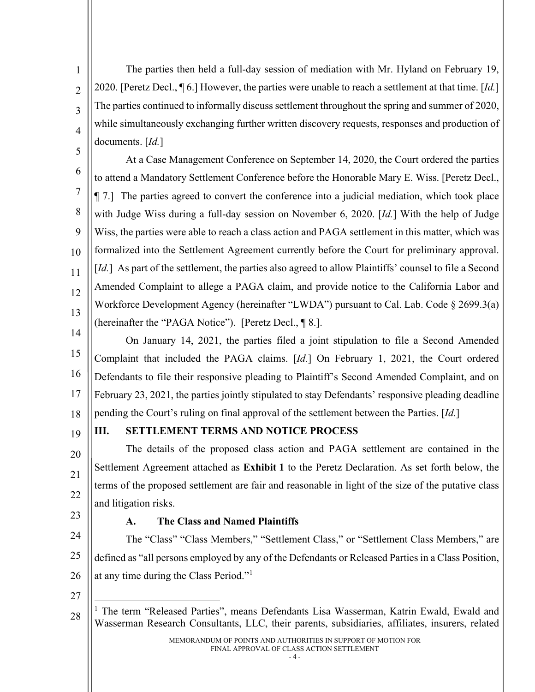The parties then held a full-day session of mediation with Mr. Hyland on February 19, 2020. [Peretz Decl., ¶ 6.] However, the parties were unable to reach a settlement at that time. [*Id.*] The parties continued to informally discuss settlement throughout the spring and summer of 2020, while simultaneously exchanging further written discovery requests, responses and production of documents. [*Id.*]

6 8 9 10 11 12 13 At a Case Management Conference on September 14, 2020, the Court ordered the parties to attend a Mandatory Settlement Conference before the Honorable Mary E. Wiss. [Peretz Decl., ¶ 7.] The parties agreed to convert the conference into a judicial mediation, which took place with Judge Wiss during a full-day session on November 6, 2020. [*Id.*] With the help of Judge Wiss, the parties were able to reach a class action and PAGA settlement in this matter, which was formalized into the Settlement Agreement currently before the Court for preliminary approval. [*Id.*] As part of the settlement, the parties also agreed to allow Plaintiffs' counsel to file a Second Amended Complaint to allege a PAGA claim, and provide notice to the California Labor and Workforce Development Agency (hereinafter "LWDA") pursuant to Cal. Lab. Code § 2699.3(a) (hereinafter the "PAGA Notice"). [Peretz Decl., ¶ 8.].

14 15 16 17 18 On January 14, 2021, the parties filed a joint stipulation to file a Second Amended Complaint that included the PAGA claims. [*Id.*] On February 1, 2021, the Court ordered Defendants to file their responsive pleading to Plaintiff's Second Amended Complaint, and on February 23, 2021, the parties jointly stipulated to stay Defendants' responsive pleading deadline pending the Court's ruling on final approval of the settlement between the Parties. [*Id.*]

# 19

1

 $\overline{2}$ 

3

4

5

7

# **III. SETTLEMENT TERMS AND NOTICE PROCESS**

20 21 22 The details of the proposed class action and PAGA settlement are contained in the Settlement Agreement attached as **Exhibit 1** to the Peretz Declaration. As set forth below, the terms of the proposed settlement are fair and reasonable in light of the size of the putative class and litigation risks.

23

# **A. The Class and Named Plaintiffs**

24 25 26 The "Class" "Class Members," "Settlement Class," or "Settlement Class Members," are defined as "all persons employed by any of the Defendants or Released Parties in a Class Position, at any time during the Class Period."[1](#page-6-0)

27

<span id="page-6-0"></span>28

<sup>&</sup>lt;sup>1</sup> The term "Released Parties", means Defendants Lisa Wasserman, Katrin Ewald, Ewald and Wasserman Research Consultants, LLC, their parents, subsidiaries, affiliates, insurers, related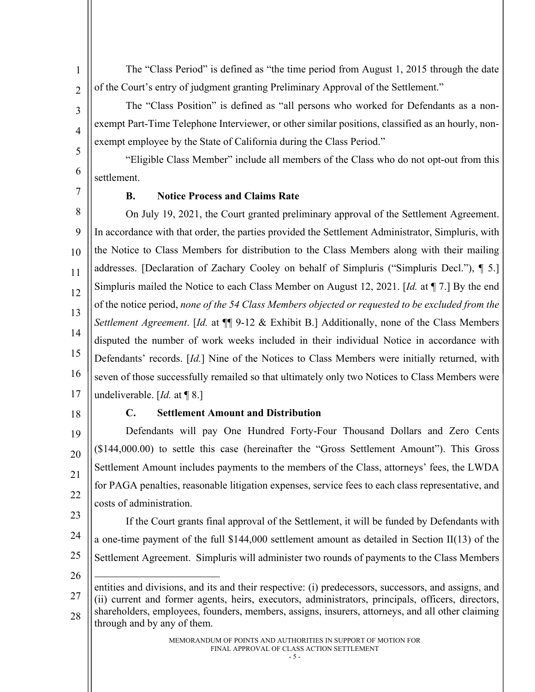The "Class Period" is defined as "the time period from August 1, 2015 through the date of the Court's entry of judgment granting Preliminary Approval of the Settlement."

The "Class Position" is defined as "all persons who worked for Defendants as a nonexempt Part-Time Telephone Interviewer, or other similar positions, classified as an hourly, nonexempt employee by the State of California during the Class Period."

"Eligible Class Member" include all members of the Class who do not opt-out from this settlement.

7

1

 $\overline{2}$ 

3

4

5

6

## **B. Notice Process and Claims Rate**

8 9 10 11 12 13 14 15 16 17 On July 19, 2021, the Court granted preliminary approval of the Settlement Agreement. In accordance with that order, the parties provided the Settlement Administrator, Simpluris, with the Notice to Class Members for distribution to the Class Members along with their mailing addresses. [Declaration of Zachary Cooley on behalf of Simpluris ("Simpluris Decl."), ¶ 5.] Simpluris mailed the Notice to each Class Member on August 12, 2021. [*Id.* at ¶ 7.] By the end of the notice period, *none of the 54 Class Members objected or requested to be excluded from the Settlement Agreement*. [*Id.* at ¶¶ 9-12 & Exhibit B.] Additionally, none of the Class Members disputed the number of work weeks included in their individual Notice in accordance with Defendants' records. [*Id.*] Nine of the Notices to Class Members were initially returned, with seven of those successfully remailed so that ultimately only two Notices to Class Members were undeliverable. [*Id.* at ¶ 8.]

18

#### **C. Settlement Amount and Distribution**

19 20 21 22 Defendants will pay One Hundred Forty-Four Thousand Dollars and Zero Cents (\$144,000.00) to settle this case (hereinafter the "Gross Settlement Amount"). This Gross Settlement Amount includes payments to the members of the Class, attorneys' fees, the LWDA for PAGA penalties, reasonable litigation expenses, service fees to each class representative, and costs of administration.

If the Court grants final approval of the Settlement, it will be funded by Defendants with

a one-time payment of the full \$144,000 settlement amount as detailed in Section II(13) of the

Settlement Agreement. Simpluris will administer two rounds of payments to the Class Members

- 23
- 24
- 25

<sup>26</sup> 27 28 entities and divisions, and its and their respective: (i) predecessors, successors, and assigns, and (ii) current and former agents, heirs, executors, administrators, principals, officers, directors, shareholders, employees, founders, members, assigns, insurers, attorneys, and all other claiming through and by any of them.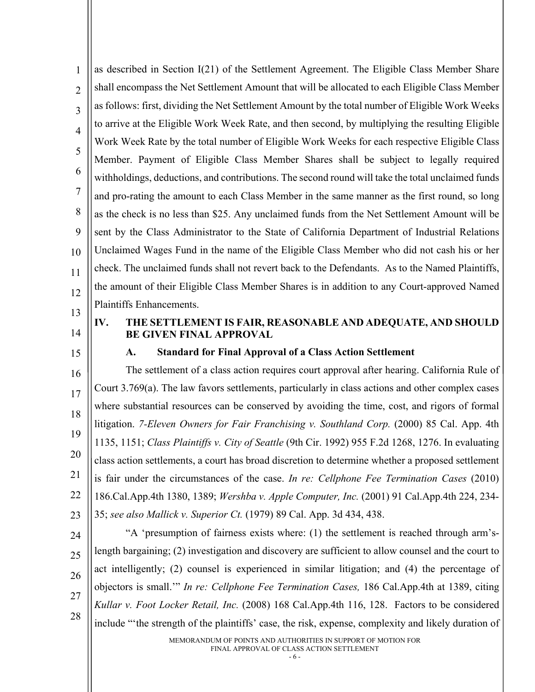1  $\mathfrak{D}$ 3 4 5 6 7 8 9 10 11 12 13 as described in Section I(21) of the Settlement Agreement. The Eligible Class Member Share shall encompass the Net Settlement Amount that will be allocated to each Eligible Class Member as follows: first, dividing the Net Settlement Amount by the total number of Eligible Work Weeks to arrive at the Eligible Work Week Rate, and then second, by multiplying the resulting Eligible Work Week Rate by the total number of Eligible Work Weeks for each respective Eligible Class Member. Payment of Eligible Class Member Shares shall be subject to legally required withholdings, deductions, and contributions. The second round will take the total unclaimed funds and pro-rating the amount to each Class Member in the same manner as the first round, so long as the check is no less than \$25. Any unclaimed funds from the Net Settlement Amount will be sent by the Class Administrator to the State of California Department of Industrial Relations Unclaimed Wages Fund in the name of the Eligible Class Member who did not cash his or her check. The unclaimed funds shall not revert back to the Defendants. As to the Named Plaintiffs, the amount of their Eligible Class Member Shares is in addition to any Court-approved Named Plaintiffs Enhancements.

- 
- 14
- 15

# **IV. THE SETTLEMENT IS FAIR, REASONABLE AND ADEQUATE, AND SHOULD BE GIVEN FINAL APPROVAL**

## **A. Standard for Final Approval of a Class Action Settlement**

16 17 18 19 20 21 22 23 The settlement of a class action requires court approval after hearing. California Rule of Court 3.769(a). The law favors settlements, particularly in class actions and other complex cases where substantial resources can be conserved by avoiding the time, cost, and rigors of formal litigation. *7-Eleven Owners for Fair Franchising v. Southland Corp.* (2000) 85 Cal. App. 4th 1135, 1151; *Class Plaintiffs v. City of Seattle* (9th Cir. 1992) 955 F.2d 1268, 1276. In evaluating class action settlements, a court has broad discretion to determine whether a proposed settlement is fair under the circumstances of the case. *In re: Cellphone Fee Termination Cases* (2010) 186.Cal.App.4th 1380, 1389; *Wershba v. Apple Computer, Inc.* (2001) 91 Cal.App.4th 224, 234- 35; *see also Mallick v. Superior Ct.* (1979) 89 Cal. App. 3d 434, 438.

24

25 26 27 28 "A 'presumption of fairness exists where: (1) the settlement is reached through arm'slength bargaining; (2) investigation and discovery are sufficient to allow counsel and the court to act intelligently; (2) counsel is experienced in similar litigation; and (4) the percentage of objectors is small.'" *In re: Cellphone Fee Termination Cases,* 186 Cal.App.4th at 1389, citing *Kullar v. Foot Locker Retail, Inc.* (2008) 168 Cal.App.4th 116, 128. Factors to be considered include "'the strength of the plaintiffs' case, the risk, expense, complexity and likely duration of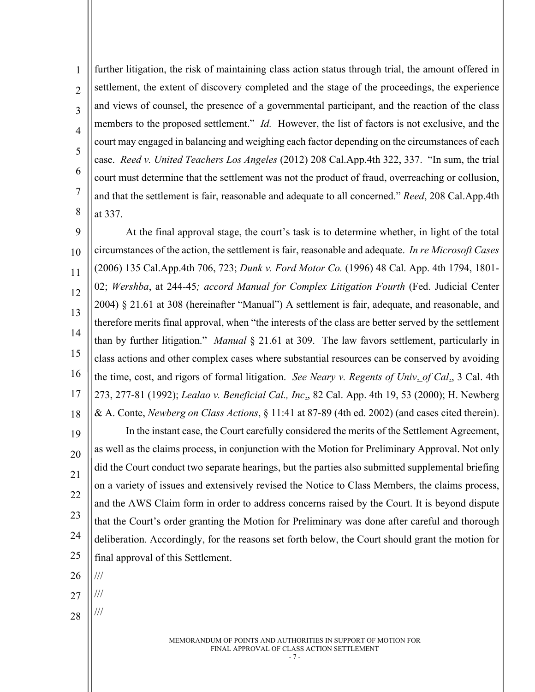1  $\overline{2}$ 3 4 5 6 7 8 further litigation, the risk of maintaining class action status through trial, the amount offered in settlement, the extent of discovery completed and the stage of the proceedings, the experience and views of counsel, the presence of a governmental participant, and the reaction of the class members to the proposed settlement." *Id.* However, the list of factors is not exclusive, and the court may engaged in balancing and weighing each factor depending on the circumstances of each case. *Reed v. United Teachers Los Angeles* (2012) 208 Cal.App.4th 322, 337. "In sum, the trial court must determine that the settlement was not the product of fraud, overreaching or collusion, and that the settlement is fair, reasonable and adequate to all concerned." *Reed*, 208 Cal.App.4th at 337.

9 10 11 12 13 14 15 16 17 18 19 20 21 22 23 24 25 At the final approval stage, the court's task is to determine whether, in light of the total circumstances of the action, the settlement is fair, reasonable and adequate. *In re Microsoft Cases* (2006) 135 Cal.App.4th 706, 723; *Dunk v. Ford Motor Co.* (1996) 48 Cal. App. 4th 1794, 1801- 02; *Wershba*, at 244-45*; accord Manual for Complex Litigation Fourth* (Fed. Judicial Center 2004) § 21.61 at 308 (hereinafter "Manual") A settlement is fair, adequate, and reasonable, and therefore merits final approval, when "the interests of the class are better served by the settlement than by further litigation." *Manual* § 21.61 at 309. The law favors settlement, particularly in class actions and other complex cases where substantial resources can be conserved by avoiding the time, cost, and rigors of formal litigation. *See Neary v. Regents of Univ*. *of Cal*., 3 Cal. 4th 273, 277-81 (1992); *Lealao v. Beneficial Cal., Inc*., 82 Cal. App. 4th 19, 53 (2000); H. Newberg & A. Conte, *Newberg on Class Actions*, § 11:41 at 87-89 (4th ed. 2002) (and cases cited therein). In the instant case, the Court carefully considered the merits of the Settlement Agreement, as well as the claims process, in conjunction with the Motion for Preliminary Approval. Not only did the Court conduct two separate hearings, but the parties also submitted supplemental briefing on a variety of issues and extensively revised the Notice to Class Members, the claims process, and the AWS Claim form in order to address concerns raised by the Court. It is beyond dispute that the Court's order granting the Motion for Preliminary was done after careful and thorough deliberation. Accordingly, for the reasons set forth below, the Court should grant the motion for final approval of this Settlement.

- 26 ///
- 27 ///

///

28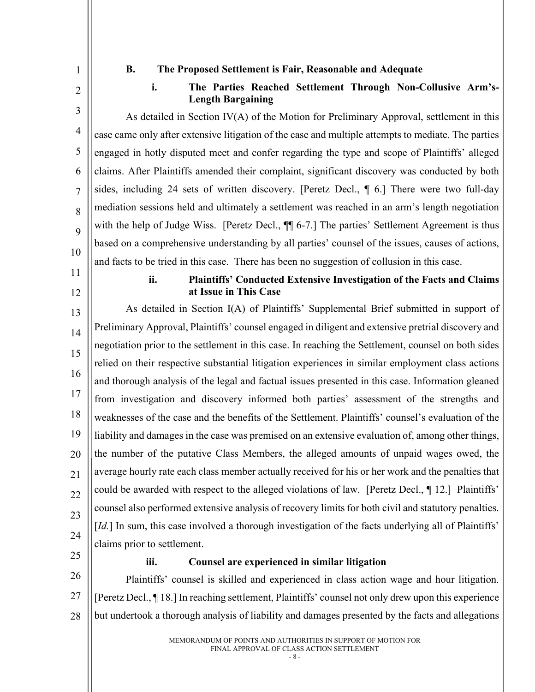1 2

3

4

5

6

7

8

 $\overline{Q}$ 

10

#### **B. The Proposed Settlement is Fair, Reasonable and Adequate**

**i. The Parties Reached Settlement Through Non-Collusive Arm's-Length Bargaining**

As detailed in Section IV(A) of the Motion for Preliminary Approval, settlement in this case came only after extensive litigation of the case and multiple attempts to mediate. The parties engaged in hotly disputed meet and confer regarding the type and scope of Plaintiffs' alleged claims. After Plaintiffs amended their complaint, significant discovery was conducted by both sides, including 24 sets of written discovery. [Peretz Decl., ¶ 6.] There were two full-day mediation sessions held and ultimately a settlement was reached in an arm's length negotiation with the help of Judge Wiss. [Peretz Decl.,  $\P$  6-7.] The parties' Settlement Agreement is thus based on a comprehensive understanding by all parties' counsel of the issues, causes of actions, and facts to be tried in this case. There has been no suggestion of collusion in this case.

- 
- 12

11

#### **ii. Plaintiffs' Conducted Extensive Investigation of the Facts and Claims at Issue in This Case**

13 14 15 16 17 18 19 20 21 22 23 24 As detailed in Section I(A) of Plaintiffs' Supplemental Brief submitted in support of Preliminary Approval, Plaintiffs' counsel engaged in diligent and extensive pretrial discovery and negotiation prior to the settlement in this case. In reaching the Settlement, counsel on both sides relied on their respective substantial litigation experiences in similar employment class actions and thorough analysis of the legal and factual issues presented in this case. Information gleaned from investigation and discovery informed both parties' assessment of the strengths and weaknesses of the case and the benefits of the Settlement. Plaintiffs' counsel's evaluation of the liability and damages in the case was premised on an extensive evaluation of, among other things, the number of the putative Class Members, the alleged amounts of unpaid wages owed, the average hourly rate each class member actually received for his or her work and the penalties that could be awarded with respect to the alleged violations of law. [Peretz Decl., ¶ 12.] Plaintiffs' counsel also performed extensive analysis of recovery limits for both civil and statutory penalties. [*Id.*] In sum, this case involved a thorough investigation of the facts underlying all of Plaintiffs' claims prior to settlement.

25

#### **iii. Counsel are experienced in similar litigation**

26 27 28 Plaintiffs' counsel is skilled and experienced in class action wage and hour litigation. [Peretz Decl., ¶ 18.] In reaching settlement, Plaintiffs' counsel not only drew upon this experience but undertook a thorough analysis of liability and damages presented by the facts and allegations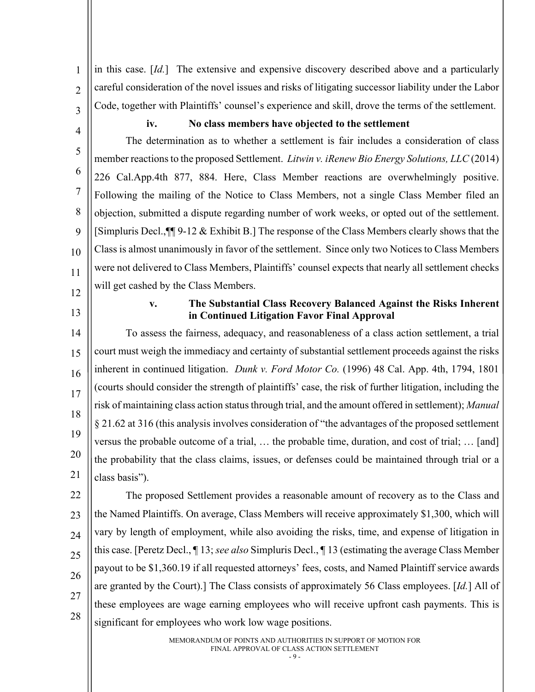1  $\overline{2}$ 3 in this case. [*Id.*] The extensive and expensive discovery described above and a particularly careful consideration of the novel issues and risks of litigating successor liability under the Labor Code, together with Plaintiffs' counsel's experience and skill, drove the terms of the settlement.

4

#### **iv. No class members have objected to the settlement**

5 6 7 8 9 10 11 12 The determination as to whether a settlement is fair includes a consideration of class member reactions to the proposed Settlement. *Litwin v. iRenew Bio Energy Solutions, LLC* (2014) 226 Cal.App.4th 877, 884. Here, Class Member reactions are overwhelmingly positive. Following the mailing of the Notice to Class Members, not a single Class Member filed an objection, submitted a dispute regarding number of work weeks, or opted out of the settlement. [Simpluris Decl.,¶¶ 9-12 & Exhibit B.] The response of the Class Members clearly shows that the Class is almost unanimously in favor of the settlement. Since only two Notices to Class Members were not delivered to Class Members, Plaintiffs' counsel expects that nearly all settlement checks will get cashed by the Class Members.

- 
- 13

## **v. The Substantial Class Recovery Balanced Against the Risks Inherent in Continued Litigation Favor Final Approval**

14 15 16 17 18 19 20 21 To assess the fairness, adequacy, and reasonableness of a class action settlement, a trial court must weigh the immediacy and certainty of substantial settlement proceeds against the risks inherent in continued litigation. *Dunk v. Ford Motor Co.* (1996) 48 Cal. App. 4th, 1794, 1801 (courts should consider the strength of plaintiffs' case, the risk of further litigation, including the risk of maintaining class action status through trial, and the amount offered in settlement); *Manual* § 21.62 at 316 (this analysis involves consideration of "the advantages of the proposed settlement versus the probable outcome of a trial, … the probable time, duration, and cost of trial; … [and] the probability that the class claims, issues, or defenses could be maintained through trial or a class basis").

22 23 24 25 26 27 28 The proposed Settlement provides a reasonable amount of recovery as to the Class and the Named Plaintiffs. On average, Class Members will receive approximately \$1,300, which will vary by length of employment, while also avoiding the risks, time, and expense of litigation in this case. [Peretz Decl., ¶ 13; *see also* Simpluris Decl., ¶ 13 (estimating the average Class Member payout to be \$1,360.19 if all requested attorneys' fees, costs, and Named Plaintiff service awards are granted by the Court).] The Class consists of approximately 56 Class employees. [*Id.*] All of these employees are wage earning employees who will receive upfront cash payments. This is significant for employees who work low wage positions.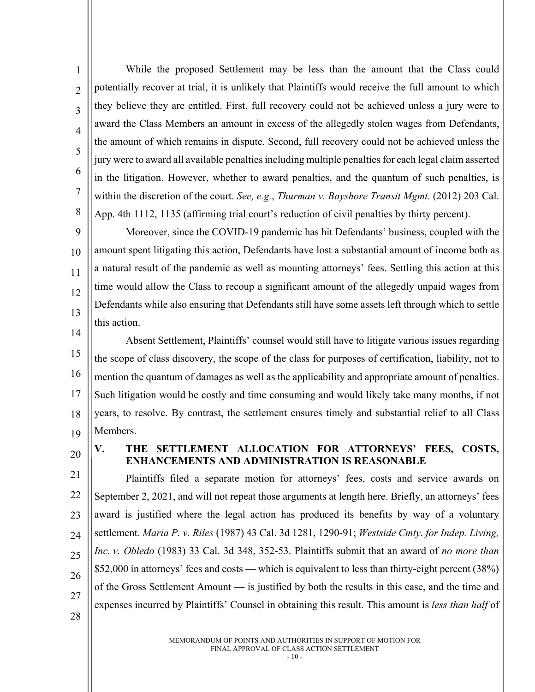1  $\overline{2}$ 3 4 5 6 7 8 While the proposed Settlement may be less than the amount that the Class could potentially recover at trial, it is unlikely that Plaintiffs would receive the full amount to which they believe they are entitled. First, full recovery could not be achieved unless a jury were to award the Class Members an amount in excess of the allegedly stolen wages from Defendants, the amount of which remains in dispute. Second, full recovery could not be achieved unless the jury were to award all available penalties including multiple penalties for each legal claim asserted in the litigation. However, whether to award penalties, and the quantum of such penalties, is within the discretion of the court. *See, e.g.*, *Thurman v. Bayshore Transit Mgmt.* (2012) 203 Cal. App. 4th 1112, 1135 (affirming trial court's reduction of civil penalties by thirty percent).

 $\overline{Q}$ 10 11 12 13 Moreover, since the COVID-19 pandemic has hit Defendants' business, coupled with the amount spent litigating this action, Defendants have lost a substantial amount of income both as a natural result of the pandemic as well as mounting attorneys' fees. Settling this action at this time would allow the Class to recoup a significant amount of the allegedly unpaid wages from Defendants while also ensuring that Defendants still have some assets left through which to settle this action.

14 15 16 17 18 19 Absent Settlement, Plaintiffs' counsel would still have to litigate various issues regarding the scope of class discovery, the scope of the class for purposes of certification, liability, not to mention the quantum of damages as well as the applicability and appropriate amount of penalties. Such litigation would be costly and time consuming and would likely take many months, if not years, to resolve. By contrast, the settlement ensures timely and substantial relief to all Class Members.

20

# **V. THE SETTLEMENT ALLOCATION FOR ATTORNEYS' FEES, COSTS, ENHANCEMENTS AND ADMINISTRATION IS REASONABLE**

21 22 23 24 25 26 27 Plaintiffs filed a separate motion for attorneys' fees, costs and service awards on September 2, 2021, and will not repeat those arguments at length here. Briefly, an attorneys' fees award is justified where the legal action has produced its benefits by way of a voluntary settlement. *Maria P. v. Riles* (1987) 43 Cal. 3d 1281, 1290-91; *Westside Cmty. for Indep. Living, Inc. v. Obledo* (1983) 33 Cal. 3d 348, 352-53. Plaintiffs submit that an award of *no more than* \$52,000 in attorneys' fees and costs — which is equivalent to less than thirty-eight percent (38%) of the Gross Settlement Amount — is justified by both the results in this case, and the time and expenses incurred by Plaintiffs' Counsel in obtaining this result. This amount is *less than half* of

28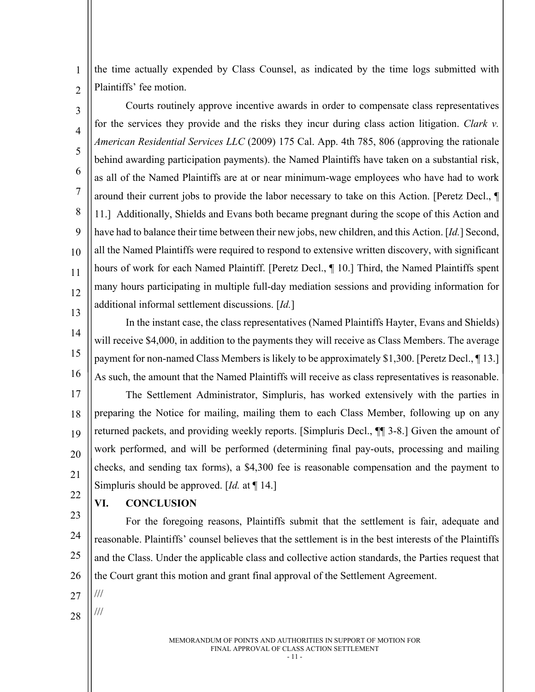1  $\overline{2}$ the time actually expended by Class Counsel, as indicated by the time logs submitted with Plaintiffs' fee motion.

3 4 5 6 7 8 9 10 11 12 13 Courts routinely approve incentive awards in order to compensate class representatives for the services they provide and the risks they incur during class action litigation. *Clark v. American Residential Services LLC* (2009) 175 Cal. App. 4th 785, 806 (approving the rationale behind awarding participation payments). the Named Plaintiffs have taken on a substantial risk, as all of the Named Plaintiffs are at or near minimum-wage employees who have had to work around their current jobs to provide the labor necessary to take on this Action. [Peretz Decl., ¶ 11.] Additionally, Shields and Evans both became pregnant during the scope of this Action and have had to balance their time between their new jobs, new children, and this Action. [*Id.*] Second, all the Named Plaintiffs were required to respond to extensive written discovery, with significant hours of work for each Named Plaintiff. [Peretz Decl., ¶ 10.] Third, the Named Plaintiffs spent many hours participating in multiple full-day mediation sessions and providing information for additional informal settlement discussions. [*Id.*]

14 15 16 In the instant case, the class representatives (Named Plaintiffs Hayter, Evans and Shields) will receive \$4,000, in addition to the payments they will receive as Class Members. The average payment for non-named Class Members is likely to be approximately \$1,300. [Peretz Decl., ¶ 13.] As such, the amount that the Named Plaintiffs will receive as class representatives is reasonable.

17 18 19 20 21 22 The Settlement Administrator, Simpluris, has worked extensively with the parties in preparing the Notice for mailing, mailing them to each Class Member, following up on any returned packets, and providing weekly reports. [Simpluris Decl., ¶¶ 3-8.] Given the amount of work performed, and will be performed (determining final pay-outs, processing and mailing checks, and sending tax forms), a \$4,300 fee is reasonable compensation and the payment to Simpluris should be approved. [*Id.* at ¶ 14.]

#### **VI. CONCLUSION**

23 24 25 26 For the foregoing reasons, Plaintiffs submit that the settlement is fair, adequate and reasonable. Plaintiffs' counsel believes that the settlement is in the best interests of the Plaintiffs and the Class. Under the applicable class and collective action standards, the Parties request that the Court grant this motion and grant final approval of the Settlement Agreement.

27

///

///

28